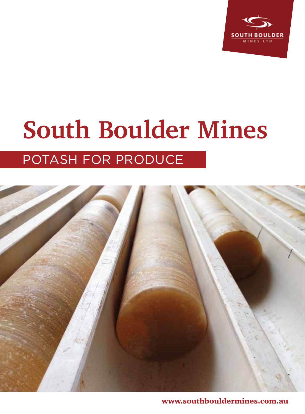

## **South Boulder Mines** Potash for produce



www.southbouldermines.com.au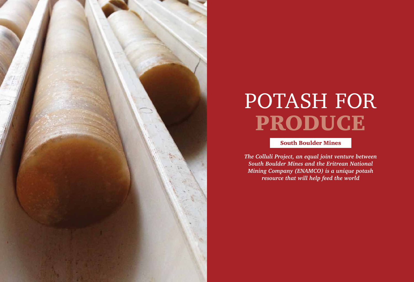

# PRODUCE POTASH FOR

*The Colluli Project, an equal joint venture between South Boulder Mines and the Eritrean National Mining Company (ENAMCO) is a unique potash resource that will help feed the world*

### South Boulder Mines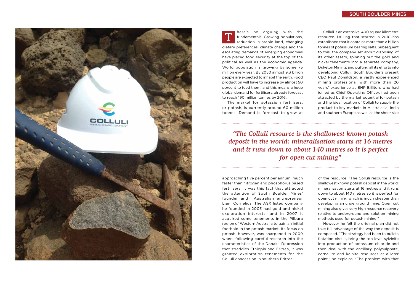The market for potassium fertilisers, or potash, is currently around 60 million tonnes. Demand is forecast to grow at

approaching five percent per annum, much faster than nitrogen and phosphorus based fertilisers. It was this fact that attracted the attention of South Boulder Mines' founder and Australian entrepreneur Liam Cornelius. The ASX listed company he founded in 2003 had gold and nickel exploration interests, and in 2007 it acquired some tenements in the Pilbara region of Western Australia to gain an initial foothold in the potash market. Its focus on potash, however, was sharpened in 2009 when, following careful research into the characteristics of the Danakil Depression that straddles Ethiopia and Eritrea, it was granted exploration tenements for the Colluli concession in southern Eritrea.



here's no arguing with the fundamentals. Growing populations, reduction in arable land, changing dietary preferences, climate change and the escalating demands of emerging economies have placed food security at the top of the political as well as the economic agenda. World population is growing by some 75 million every year. By 2050 almost 9.3 billion people are expected to inhabit the earth. Food production will have to increase by almost 50 percent to feed them, and this means a huge global demand for fertilisers, already forecast to reach 190 million tonnes by 2016. T

Colluli is an extensive, 400 square kilometre resource. Drilling that started in 2010 has established that it contains more than a billion tonnes of potassium bearing salts. Subsequent to this, the company set about disposing of its other assets, spinning out the gold and nickel tenements into a separate company, Duketon Mining, and putting all its efforts into developing Colluli. South Boulder's present CEO Paul Donaldson, a vastly experienced mining professional with more than 20 years' experience at BHP Billiton, who had joined as Chief Operating Officer, had been attracted by the market potential for potash and the ideal location of Colluli to supply the product to key markets in Australasia, India and southern Europe as well as the sheer size

of the resource, "The Colluli resource is the shallowest known potash deposit in the world: mineralisation starts at 16 metres and it runs down to about 140 metres so it is perfect for open cut mining which is much cheaper than developing an underground mine. Open cut mining also gives very high resource recovery relative to underground and solution mining methods used for potash mining."

However he felt the original plan did not take full advantage of the way the deposit is composed. "The strategy had been to build a flotation circuit, bring the top level sylvinite into production of potassium chloride and then deal with the ancillary polysulphate, carnallite and kainite resources at a later point," he explains. "The problem with that

*"The Colluli resource is the shallowest known potash deposit in the world: mineralisation starts at 16 metres and it runs down to about 140 metres so it is perfect for open cut mining"*

#### South Boulder Mines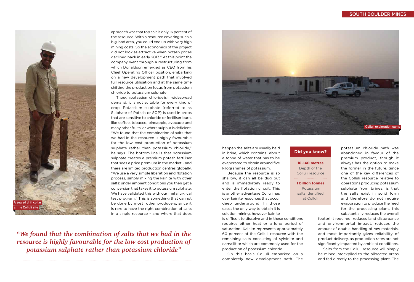approach was that top salt is only 16 percent of the resource. With a resource covering such a big land area, you could end up with very high mining costs. So the economics of the project did not look as attractive when potash prices declined back in early 2013." At this point the company went through a restructuring from which Donaldson emerged as CEO from his Chief Operating Officer position, embarking on a new development path that involved full resource utilisation and at the same time shifting the production focus from potassium chloride to potassium sulphate.

Though potassium chloride is in widespread demand, it is not suitable for every kind of crop. Potassium sulphate (referred to as Sulphate of Potash or SOP) is used in crops that are sensitive to chloride or fertiliser burn, like coffee, tobacco, pineapple, avocado and many other fruits, or where sulphur is deficient. "We found that the combination of salts that we had in the resource is highly favourable for the low cost production of potassium sulphate rather than potassium chloride," he says. The bottom line is that potassium sulphate creates a premium potash fertiliser that sees a price premium in the market - and there are limited production centres globally. "We use a very simple liberation and flotation process, simply mixing the kainite with other salts: under ambient conditions you then get a conversion that takes it to potassium sulphate. We have validated this with our metallurgical test program." This is something that cannot be done by most other producers, since it is rare to have the right combination of salts in a single resource - and where that does

#### South Boulder Mines



*"We found that the combination of salts that we had in the resource is highly favourable for the low cost production of potassium sulphate rather than potassium chloride"*

happen the salts are usually held in brine, which contains about a tonne of water that has to be evaporated to obtain around five kilogrammes of potassium.

Because the resource is so shallow, it can all be dug out and is immediately ready to enter the flotation circuit. This is another advantage Colluli has over kainite resources that occur deep underground. In those cases the only way to obtain it is solution mining, however kainite

is difficult to dissolve and in these conditions requires either heat or a long period of saturation. Kainite represents approximately 60 percent of the Colluli resource with the remaining salts consisting of sylvinite and carnallitite which are commonly used for the production of potassium chloride.

On this basis Colluli embarked on a completely new development path. The potassium chloride path was abandoned in favour of the premium product, though it always has the option to make the former in the future. Since one of the key differences of the Colluli resource relative to operations producing potassium sulphate from brines, is that the salts exist in solid form and therefore do not require evaporation to produce the feed for the processing plant, this

substantially reduces the overall footprint required, reduces land disturbance and environmental impact, reduces the amount of double handling of raw materials, and most importantly gives reliability of product delivery, as production rates are not significantly impacted by ambient conditions. Salts from the Colluli resource will simply be mined, stockpiled to the allocated areas and fed directly to the processing plant. The





#### **16-140 metres** Depth of the Colluli resource

**1 billion tonnes** Potassium

salts identified at Colluli

#### **Did you know?**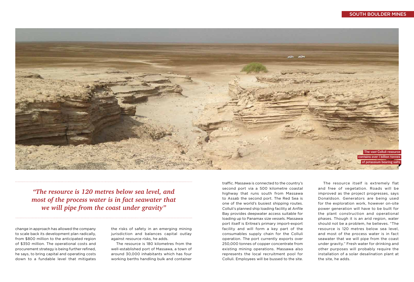change in approach has allowed the company to scale back its development plan radically, from \$800 million to the anticipated region of \$350 million. The operational costs and procurement strategy is being further refined, he says, to bring capital and operating costs down to a fundable level that mitigates the risks of safety in an emerging mining jurisdiction and balances capital outlay against resource risks, he adds.

The resource is 180 kilometres from the well-established port of Massawa, a town of around 30,000 inhabitants which has four working berths handling bulk and container



#### South Boulder Mines

*"The resource is 120 metres below sea level, and most of the process water is in fact seawater that we will pipe from the coast under gravity"*

traffic. Massawa is connected to the country's second port via a 500 kilometre coastal highway that runs south from Massawa to Assab the second port. The Red Sea is one of the world's busiest shipping routes. Colluli's planned ship loading facility at Anfile Bay provides deepwater access suitable for loading up to Panamax size vessels. Massawa port itself is Eritrea's primary import-export facility and will form a key part of the consumables supply chain for the Colluli operation. The port currently exports over 250,000 tonnes of copper concentrate from existing mining operations. Massawa also represents the local recruitment pool for Colluli. Employees will be bussed to the site.

The resource itself is extremely flat and free of vegetation. Roads will be improved as the project progresses, says Donaldson. Generators are being used for the exploration work, however on-site power generation will have to be built for the plant construction and operational phases. Though it is an arid region, water should not be a problem, he believes. "The resource is 120 metres below sea level, and most of the process water is in fact seawater that we will pipe from the coast under gravity." Fresh water for drinking and other purposes will probably require the installation of a solar desalination plant at the site, he adds.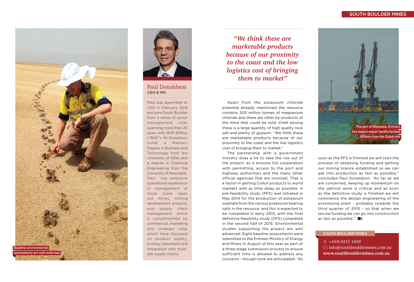#### South Boulder Mines

 $\textcircled{1}$  +618 6315 1409  $\boxtimes$  info@southbouldermines.com.au **www.southbouldermines.com.au**

#### South Boulder Mines

*"We think these are marketable products because of our proximity to the coast and the low logistics cost of bringing them to market"*

Apart from the potassium chloride potential already mentioned the resource contains 200 million tonnes of magnesium chloride and there are other by-products of the mine that could be sold. Chief among these is a large quantity of high quality rock salt and plenty of gypsum. "We think these are marketable products because of our proximity to the coast and the low logistics cost of bringing them to market."

> soon as the PFS is finished we will start the process of obtaining funding and getting our mining licence established so we can get into production as fast as possible," concludes Paul Donaldson. "As far as we are concerned, keeping up momentum on the upfront work is critical and as soon as the definitive study is finished we will commence the design engineering of the processing plant - probably towards the third quarter of 2015 - so that when we secure funding we can go into construction as fast as possible." **BE**

The partnership with a government ministry does a lot to take the risk out of the project, as it ensures full cooperation with permitting, access to the port and highway authorities and the many other official agencies that are involved. That is a factor in getting Colluli products to world markets with as little delay as possible. A pre-feasibility study (PFS) was initiated in May 2014 for the production of potassium sulphate from the various potassium bearing salts in the resource, and this is expected to be completed in early 2015, with the final definitive feasibility study (DFS) completed in the second half of 2015. Environmental studies supporting the project are well advanced. Eight baseline assessments were submitted to the Eritrean Ministry of Energy and Mines in August of this year as part of a three stage submission process to ensure sufficient time is allowed to address any concerns - though none are anticipated. "As



#### Paul Donaldson **CEO & MD**

Paul was appointed as CEO in February 2013 and joins South Boulder from a series of senior management roles spanning more than 20 years with BHP Billiton ("BHP"). Mr Donaldson holds a Masters Degree in Business and Technology from the University of NSW, and a degree in Chemical Engineering from the University of Newcastle. Paul has extensive operational experience in management of large scale open cut mines, mining development projects, and supply chain management, which is complimented by commercial, marketing and strategic roles which have focussed on product quality, pricing, placement and integration with multisite supply chains.